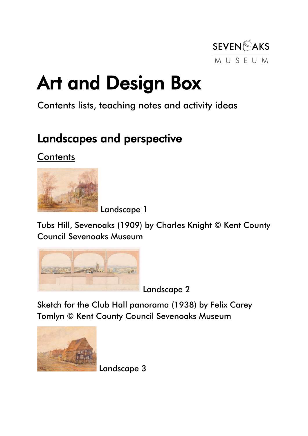

# Art and Design Box

## Contents lists, teaching notes and activity ideas

# Landscapes and perspective

## **Contents**



Landscape 1

Tubs Hill, Sevenoaks (1909) by Charles Knight © Kent County Council Sevenoaks Museum



Landscape 2

Sketch for the Club Hall panorama (1938) by Felix Carey Tomlyn © Kent County Council Sevenoaks Museum



Landscape 3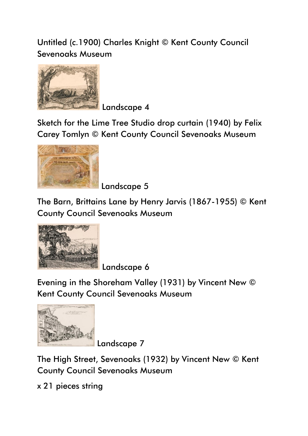Untitled (c.1900) Charles Knight © Kent County Council Sevenoaks Museum



Landscape 4

Sketch for the Lime Tree Studio drop curtain (1940) by Felix Carey Tomlyn © Kent County Council Sevenoaks Museum



Landscape 5

The Barn, Brittains Lane by Henry Jarvis (1867-1955) © Kent County Council Sevenoaks Museum



Landscape 6

Evening in the Shoreham Valley (1931) by Vincent New © Kent County Council Sevenoaks Museum



Landscape 7

The High Street, Sevenoaks (1932) by Vincent New © Kent County Council Sevenoaks Museum

x 21 pieces string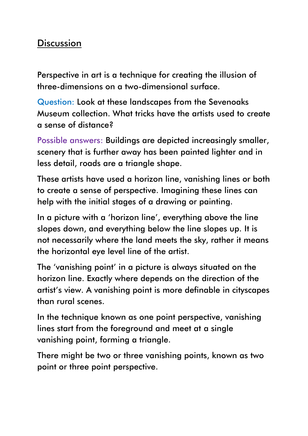## **Discussion**

Perspective in art is a technique for creating the illusion of three-dimensions on a two-dimensional surface.

Question: Look at these landscapes from the Sevenoaks Museum collection. What tricks have the artists used to create a sense of distance?

Possible answers: Buildings are depicted increasingly smaller, scenery that is further away has been painted lighter and in less detail, roads are a triangle shape.

These artists have used a horizon line, vanishing lines or both to create a sense of perspective. Imagining these lines can help with the initial stages of a drawing or painting.

In a picture with a 'horizon line' , everything above the line slopes down, and everything below the line slopes up. It is not necessarily where the land meets the sky, rather it means the horizontal eye level line of the artist.

The 'vanishing point' in a picture is always situated on the horizon line. Exactly where depends on the direction of the artist's view. A vanishing point is more definable in cityscapes than rural scenes.

In the technique known as one point perspective, vanishing lines start from the foreground and meet at a single vanishing point, forming a triangle.

There might be two or three vanishing points, known as two point or three point perspective.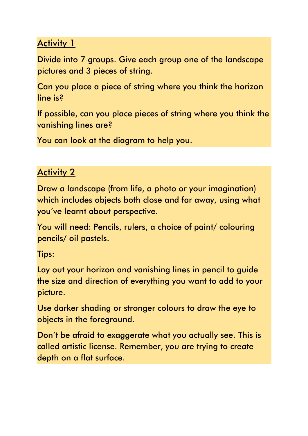## **Activity 1**

Divide into 7 groups. Give each group one of the landscape pictures and 3 pieces of string.

Can you place a piece of string where you think the horizon line is?

If possible, can you place pieces of string where you think the vanishing lines are?

You can look at the diagram to help you.

## Activity 2

Draw a landscape (from life, a photo or your imagination) which includes objects both close and far away, using what you've learnt about perspective.

You will need: Pencils, rulers, a choice of paint/ colouring pencils/ oil pastels.

Tips:

Lay out your horizon and vanishing lines in pencil to guide the size and direction of everything you want to add to your picture.

Use darker shading or stronger colours to draw the eye to objects in the foreground.

Don't be afraid to exaggerate what you actually see. This is called artistic license. Remember, you are trying to create depth on a flat surface.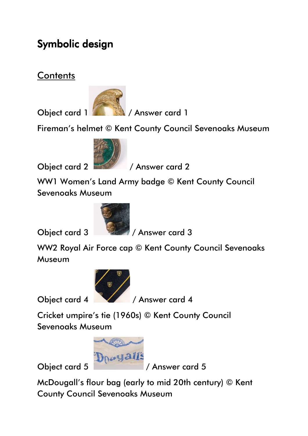# Symbolic design

**Contents** 



Object card 1 / **Answer card 1** 

Fireman's helmet © Kent County Council Sevenoaks Museum



Object card 2 / Answer card 2

WW1 Women's Land Army badge © Kent County Council Sevenoaks Museum



Object card 3 / Answer card 3

WW2 Royal Air Force cap © Kent County Council Sevenoaks Museum



Object card 4 / Answer card 4

Cricket umpire's tie (1960s) © Kent County Council Sevenoaks Museum



McDougall's flour bag (early to mid 20th century) © Kent County Council Sevenoaks Museum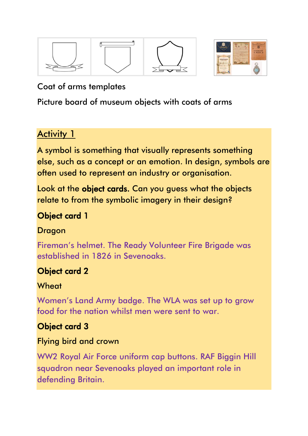



#### Coat of arms templates

Picture board of museum objects with coats of arms

## **Activity 1**

A symbol is something that visually represents something else, such as a concept or an emotion. In design, symbols are often used to represent an industry or organisation.

Look at the object cards. Can you guess what the objects relate to from the symbolic imagery in their design?

## Object card 1

#### Dragon

Fireman's helmet. The Ready Volunteer Fire Brigade was established in 1826 in Sevenoaks.

## Object card 2

#### **Wheat**

Women's Land Army badge. The WLA was set up to grow food for the nation whilst men were sent to war.

## Object card 3

#### Flying bird and crown

WW2 Royal Air Force uniform cap buttons. RAF Biggin Hill squadron near Sevenoaks played an important role in defending Britain.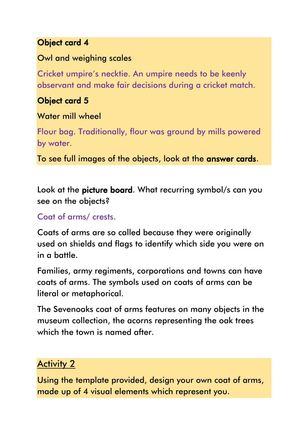#### Object card 4

#### Owl and weighing scales

Cricket umpire's necktie. An umpire needs to be keenly observant and make fair decisions during a cricket match.

## Object card 5

#### Water mill wheel

Flour bag. Traditionally, flour was ground by mills powered by water.

To see full images of the objects, look at the answer cards.

Look at the picture board. What recurring symbol/s can you see on the objects?

#### Coat of arms/ crests.

Coats of arms are so called because they were originally used on shields and flags to identify which side you were on in a battle.

Families, army regiments, corporations and towns can have coats of arms. The symbols used on coats of arms can be literal or metaphorical.

The Sevenoaks coat of arms features on many objects in the museum collection, the acorns representing the oak trees which the town is named after.

## Activity 2

Using the template provided, design your own coat of arms, made up of 4 visual elements which represent you.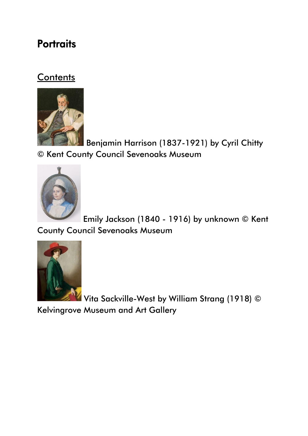## **Portraits**

#### **Contents**



Benjamin Harrison (1837-1921) by Cyril Chitty © Kent County Council Sevenoaks Museum



Emily Jackson (1840 - 1916) by unknown © Kent County Council Sevenoaks Museum



Vita Sackville-West by William Strang (1918) ©

Kelvingrove Museum and Art Gallery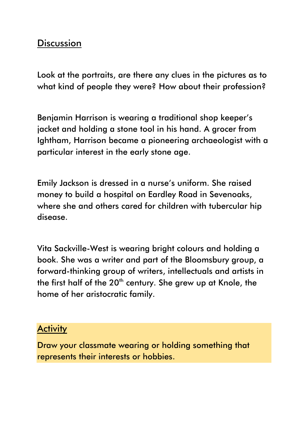### **Discussion**

Look at the portraits, are there any clues in the pictures as to what kind of people they were? How about their profession?

Benjamin Harrison is wearing a traditional shop keeper's jacket and holding a stone tool in his hand. A grocer from Ightham, Harrison became a pioneering archaeologist with a particular interest in the early stone age.

Emily Jackson is dressed in a nurse's uniform. She raised money to build a hospital on Eardley Road in Sevenoaks, where she and others cared for children with tubercular hip disease.

Vita Sackville-West is wearing bright colours and holding a book. She was a writer and part of the Bloomsbury group, a forward-thinking group of writers, intellectuals and artists in the first half of the 20<sup>th</sup> century. She grew up at Knole, the home of her aristocratic family.

#### **Activity**

Draw your classmate wearing or holding something that represents their interests or hobbies.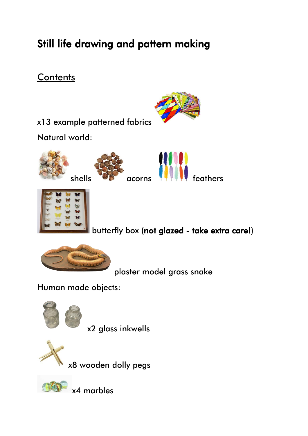# Still life drawing and pattern making

## **Contents**



x13 example patterned fabrics

Natural world:









butterfly box (not glazed - take extra care!)



plaster model grass snake

Human made objects:



x2 glass inkwells



x8 wooden dolly pegs



x4 marbles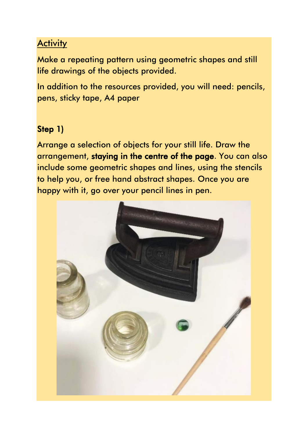### **Activity**

Make a repeating pattern using geometric shapes and still life drawings of the objects provided.

In addition to the resources provided, you will need: pencils, pens, sticky tape, A4 paper

#### Step 1)

Arrange a selection of objects for your still life. Draw the arrangement, staying in the centre of the page. You can also include some geometric shapes and lines, using the stencils to help you, or free hand abstract shapes. Once you are happy with it, go over your pencil lines in pen.

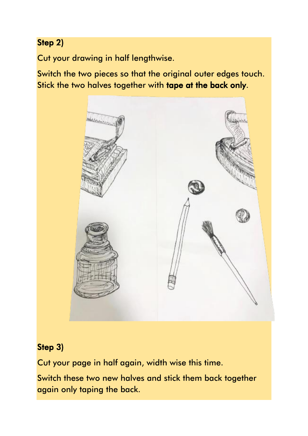## Step 2)

Cut your drawing in half lengthwise.

Switch the two pieces so that the original outer edges touch. Stick the two halves together with tape at the back only.



#### Step 3)

Cut your page in half again, width wise this time.

Switch these two new halves and stick them back together again only taping the back.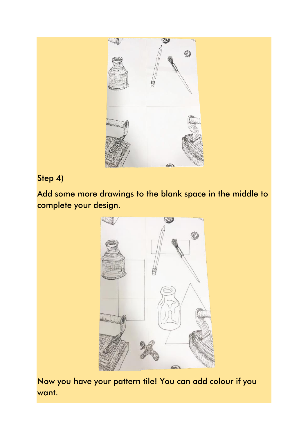

#### Step 4)

Add some more drawings to the blank space in the middle to complete your design.



Now you have your pattern tile! You can add colour if you want.